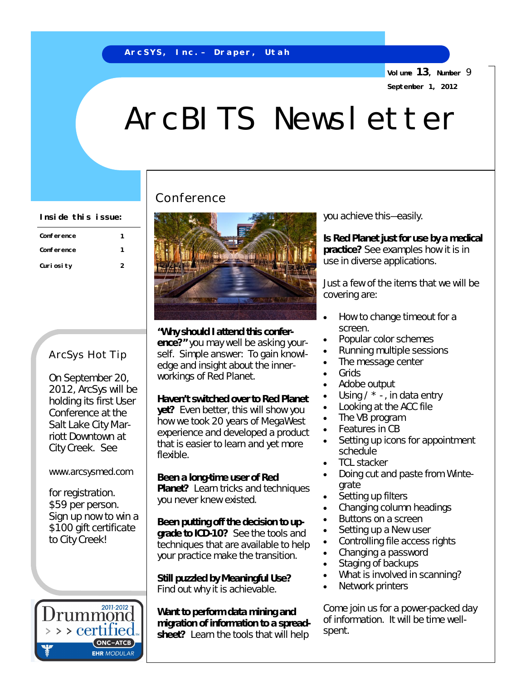**Volume 13, Number** 9 **September 1, 2012**

# ArcBITS Newsletter

| Conference  |   |
|-------------|---|
| Conference  |   |
| Curi osi ty | 2 |

#### ArcSys Hot Tip

On September 20, 2012, ArcSys will be holding its first User Conference at the Salt Lake City Marriott Downtown at City Creek. See

#### [www.arcsysmed.com](http://www.arcsysmed.com)

for registration. \$59 per person. Sign up now to win a \$100 gift certificate to City Creek!



## Conference



**"Why should I attend this confer-**

**ence?"** you may well be asking yourself. Simple answer: To gain knowledge and insight about the innerworkings of Red Planet.

**Haven't switched over to Red Planet yet?** Even better, this will show you how we took 20 years of MegaWest experience and developed a product that is easier to learn and yet more flexible.

**Been a long-time user of Red Planet?** Learn tricks and techniques you never knew existed.

**Been putting off the decision to upgrade to ICD-10?** See the tools and techniques that are available to help your practice make the transition.

**Still puzzled by Meaningful Use?**  Find out why it is achievable.

**Want to perform data mining and migration of information to a spreadsheet?** Learn the tools that will help

**Is Red Planet just for use by a medical practice?** See examples how it is in use in diverse applications.

Just a few of the items that we will be covering are:

- How to change timeout for a screen.
- Popular color schemes
- Running multiple sessions
- The message center
- Grids
- Adobe output
- Using  $\prime$  \* -, in data entry
- Looking at the ACC file
- The VB program
- Features in CB
- Setting up icons for appointment schedule
- TCL stacker
- Doing cut and paste from Wintegrate
- Setting up filters
- Changing column headings
- Buttons on a screen
- Setting up a New user
- Controlling file access rights
- Changing a password
- Staging of backups
- What is involved in scanning?
- Network printers

Come join us for a power-packed day of information. It will be time wellspent.